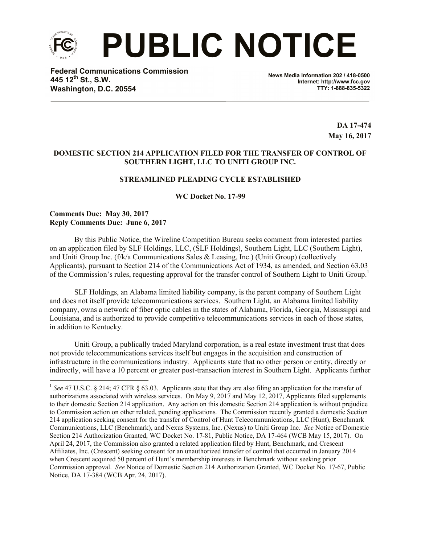

l

 **PUBLIC NOTICE**

**Federal Communications Commission 445 12th St., S.W. Washington, D.C. 20554**

**News Media Information 202 / 418-0500 Internet: http://www.fcc.gov TTY: 1-888-835-5322**

> **DA 17-474 May 16, 2017**

## **DOMESTIC SECTION 214 APPLICATION FILED FOR THE TRANSFER OF CONTROL OF SOUTHERN LIGHT, LLC TO UNITI GROUP INC.**

# **STREAMLINED PLEADING CYCLE ESTABLISHED**

**WC Docket No. 17-99**

## **Comments Due: May 30, 2017 Reply Comments Due: June 6, 2017**

By this Public Notice, the Wireline Competition Bureau seeks comment from interested parties on an application filed by SLF Holdings, LLC, (SLF Holdings), Southern Light, LLC (Southern Light), and Uniti Group Inc. (f/k/a Communications Sales & Leasing, Inc.) (Uniti Group) (collectively Applicants), pursuant to Section 214 of the Communications Act of 1934, as amended, and Section 63.03 of the Commission's rules, requesting approval for the transfer control of Southern Light to Uniti Group.<sup>1</sup>

SLF Holdings, an Alabama limited liability company, is the parent company of Southern Light and does not itself provide telecommunications services. Southern Light, an Alabama limited liability company, owns a network of fiber optic cables in the states of Alabama, Florida, Georgia, Mississippi and Louisiana, and is authorized to provide competitive telecommunications services in each of those states, in addition to Kentucky.

Uniti Group, a publically traded Maryland corporation, is a real estate investment trust that does not provide telecommunications services itself but engages in the acquisition and construction of infrastructure in the communications industry. Applicants state that no other person or entity, directly or indirectly, will have a 10 percent or greater post-transaction interest in Southern Light. Applicants further

<sup>&</sup>lt;sup>1</sup> See 47 U.S.C. § 214; 47 CFR § 63.03. Applicants state that they are also filing an application for the transfer of authorizations associated with wireless services. On May 9, 2017 and May 12, 2017, Applicants filed supplements to their domestic Section 214 application. Any action on this domestic Section 214 application is without prejudice to Commission action on other related, pending applications. The Commission recently granted a domestic Section 214 application seeking consent for the transfer of Control of Hunt Telecommunications, LLC (Hunt), Benchmark Communications, LLC (Benchmark), and Nexus Systems, Inc. (Nexus) to Uniti Group Inc. *See* Notice of Domestic Section 214 Authorization Granted, WC Docket No. 17-81, Public Notice, DA 17-464 (WCB May 15, 2017). On April 24, 2017, the Commission also granted a related application filed by Hunt, Benchmark, and Crescent Affiliates, Inc. (Crescent) seeking consent for an unauthorized transfer of control that occurred in January 2014 when Crescent acquired 50 percent of Hunt's membership interests in Benchmark without seeking prior Commission approval. *See* Notice of Domestic Section 214 Authorization Granted, WC Docket No. 17-67, Public Notice, DA 17-384 (WCB Apr. 24, 2017).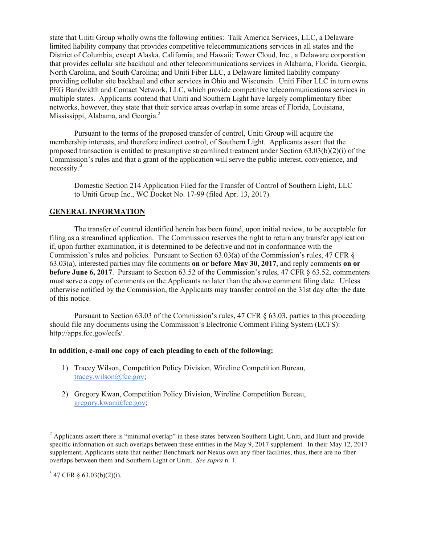state that Uniti Group wholly owns the following entities: Talk America Services, LLC, a Delaware limited liability company that provides competitive telecommunications services in all states and the District of Columbia, except Alaska, California, and Hawaii; Tower Cloud, Inc., a Delaware corporation that provides cellular site backhaul and other telecommunications services in Alabama, Florida, Georgia, North Carolina, and South Carolina; and Uniti Fiber LLC, a Delaware limited liability company providing cellular site backhaul and other services in Ohio and Wisconsin. Uniti Fiber LLC in turn owns PEG Bandwidth and Contact Network, LLC, which provide competitive telecommunications services in multiple states. Applicants contend that Uniti and Southern Light have largely complimentary fiber networks, however, they state that their service areas overlap in some areas of Florida, Louisiana, Mississippi, Alabama, and Georgia. $^2$ 

Pursuant to the terms of the proposed transfer of control, Uniti Group will acquire the membership interests, and therefore indirect control, of Southern Light. Applicants assert that the proposed transaction is entitled to presumptive streamlined treatment under Section  $63.03(b)(2)(i)$  of the Commission's rules and that a grant of the application will serve the public interest, convenience, and necessity.<sup>3</sup>

Domestic Section 214 Application Filed for the Transfer of Control of Southern Light, LLC to Uniti Group Inc., WC Docket No. 17-99 (filed Apr. 13, 2017).

## **GENERAL INFORMATION**

The transfer of control identified herein has been found, upon initial review, to be acceptable for filing as a streamlined application. The Commission reserves the right to return any transfer application if, upon further examination, it is determined to be defective and not in conformance with the Commission's rules and policies. Pursuant to Section 63.03(a) of the Commission's rules, 47 CFR § 63.03(a), interested parties may file comments **on or before May 30, 2017**, and reply comments **on or before June 6, 2017**. Pursuant to Section 63.52 of the Commission's rules, 47 CFR § 63.52, commenters must serve a copy of comments on the Applicants no later than the above comment filing date. Unless otherwise notified by the Commission, the Applicants may transfer control on the 31st day after the date of this notice.

Pursuant to Section 63.03 of the Commission's rules, 47 CFR § 63.03, parties to this proceeding should file any documents using the Commission's Electronic Comment Filing System (ECFS): http://apps.fcc.gov/ecfs/.

#### **In addition, e-mail one copy of each pleading to each of the following:**

- 1) Tracey Wilson, Competition Policy Division, Wireline Competition Bureau, tracey.wilson@fcc.gov;
- 2) Gregory Kwan, Competition Policy Division, Wireline Competition Bureau, gregory.kwan@fcc.gov;

l

<sup>&</sup>lt;sup>2</sup> Applicants assert there is "minimal overlap" in these states between Southern Light, Uniti, and Hunt and provide specific information on such overlaps between these entities in the May 9, 2017 supplement. In their May 12, 2017 supplement, Applicants state that neither Benchmark nor Nexus own any fiber facilities, thus, there are no fiber overlaps between them and Southern Light or Uniti. *See supra* n. 1.

 $3\,47$  CFR § 63.03(b)(2)(i).